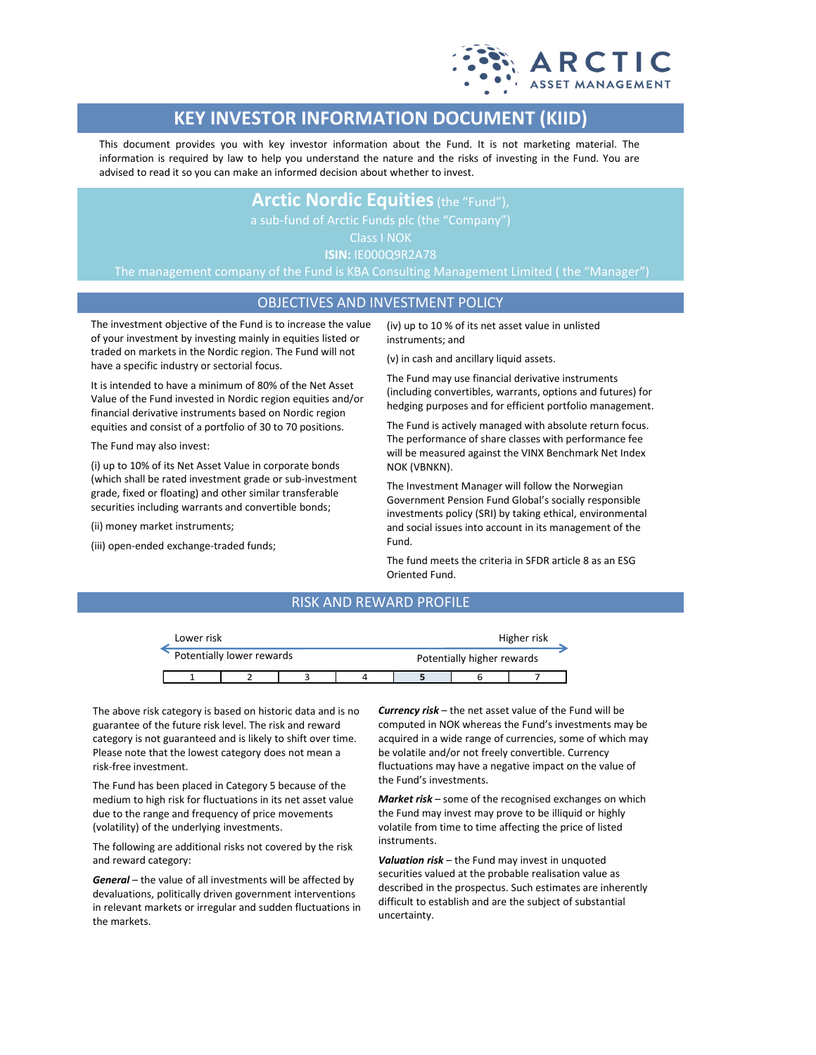

# **KEY INVESTOR INFORMATION DOCUMENT (KIID)**

This document provides you with key investor information about the Fund. It is not marketing material. The information is required by law to help you understand the nature and the risks of investing in the Fund. You are advised to read it so you can make an informed decision about whether to invest.

## **Arctic Nordic Equities**(the "Fund"),

Class I NOK

**ISIN:** IE000Q9R2A78

The management company of the Fund is KBA Consulting Management Limited ( the "Manager")

## OBJECTIVES AND INVESTMENT POLICY

The investment objective of the Fund is to increase the value of your investment by investing mainly in equities listed or traded on markets in the Nordic region. The Fund will not have a specific industry or sectorial focus.

It is intended to have a minimum of 80% of the Net Asset Value of the Fund invested in Nordic region equities and/or financial derivative instruments based on Nordic region equities and consist of a portfolio of 30 to 70 positions.

The Fund may also invest:

(i) up to 10% of its Net Asset Value in corporate bonds (which shall be rated investment grade or sub-investment grade, fixed or floating) and other similar transferable securities including warrants and convertible bonds;

(ii) money market instruments;

(iii) open-ended exchange-traded funds;

(iv) up to 10 % of its net asset value in unlisted instruments; and

(v) in cash and ancillary liquid assets.

The Fund may use financial derivative instruments (including convertibles, warrants, options and futures) for hedging purposes and for efficient portfolio management.

The Fund is actively managed with absolute return focus. The performance of share classes with performance fee will be measured against the VINX Benchmark Net Index NOK (VBNKN).

The Investment Manager will follow the Norwegian Government Pension Fund Global's socially responsible investments policy (SRI) by taking ethical, environmental and social issues into account in its management of the Fund.

The fund meets the criteria in SFDR article 8 as an ESG Oriented Fund.

## RISK AND REWARD PROFILE

|                           | Lower risk |  |  | Higher risk |                            |  |  |  |
|---------------------------|------------|--|--|-------------|----------------------------|--|--|--|
| Potentially lower rewards |            |  |  |             | Potentially higher rewards |  |  |  |
|                           |            |  |  |             |                            |  |  |  |

The above risk category is based on historic data and is no guarantee of the future risk level. The risk and reward category is not guaranteed and is likely to shift over time. Please note that the lowest category does not mean a risk-free investment.

The Fund has been placed in Category 5 because of the medium to high risk for fluctuations in its net asset value due to the range and frequency of price movements (volatility) of the underlying investments.

The following are additional risks not covered by the risk and reward category:

*General* – the value of all investments will be affected by devaluations, politically driven government interventions in relevant markets or irregular and sudden fluctuations in the markets.

*Currency risk* – the net asset value of the Fund will be computed in NOK whereas the Fund's investments may be acquired in a wide range of currencies, some of which may be volatile and/or not freely convertible. Currency fluctuations may have a negative impact on the value of the Fund's investments.

*Market risk* – some of the recognised exchanges on which the Fund may invest may prove to be illiquid or highly volatile from time to time affecting the price of listed instruments.

*Valuation risk* – the Fund may invest in unquoted securities valued at the probable realisation value as described in the prospectus. Such estimates are inherently difficult to establish and are the subject of substantial uncertainty.